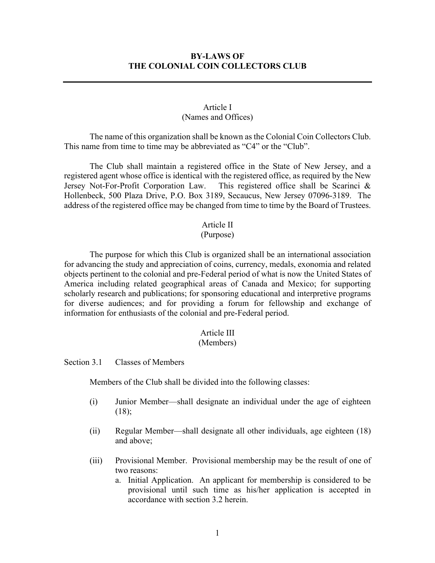# **BY-LAWS OF THE COLONIAL COIN COLLECTORS CLUB**

# Article I (Names and Offices)

The name of this organization shall be known as the Colonial Coin Collectors Club. This name from time to time may be abbreviated as "C4" or the "Club".

The Club shall maintain a registered office in the State of New Jersey, and a registered agent whose office is identical with the registered office, as required by the New Jersey Not-For-Profit Corporation Law. This registered office shall be Scarinci & Hollenbeck, 500 Plaza Drive, P.O. Box 3189, Secaucus, New Jersey 07096-3189. The address of the registered office may be changed from time to time by the Board of Trustees.

#### Article II

#### (Purpose)

The purpose for which this Club is organized shall be an international association for advancing the study and appreciation of coins, currency, medals, exonomia and related objects pertinent to the colonial and pre-Federal period of what is now the United States of America including related geographical areas of Canada and Mexico; for supporting scholarly research and publications; for sponsoring educational and interpretive programs for diverse audiences; and for providing a forum for fellowship and exchange of information for enthusiasts of the colonial and pre-Federal period.

# Article III

# (Members)

Section 3.1 Classes of Members

Members of the Club shall be divided into the following classes:

- (i) Junior Member—shall designate an individual under the age of eighteen  $(18);$
- (ii) Regular Member—shall designate all other individuals, age eighteen (18) and above;
- (iii) Provisional Member. Provisional membership may be the result of one of two reasons:
	- a. Initial Application. An applicant for membership is considered to be provisional until such time as his/her application is accepted in accordance with section 3.2 herein.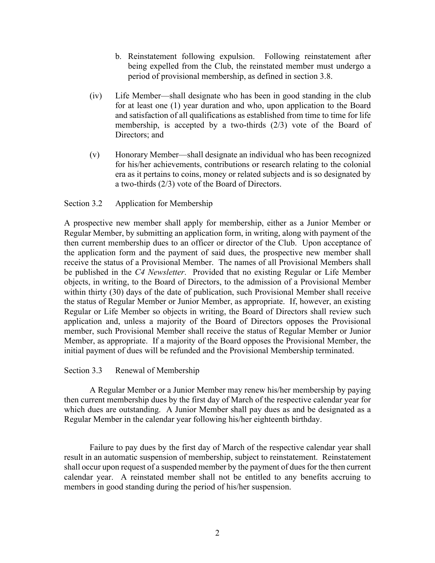- b. Reinstatement following expulsion. Following reinstatement after being expelled from the Club, the reinstated member must undergo a period of provisional membership, as defined in section 3.8.
- (iv) Life Member—shall designate who has been in good standing in the club for at least one (1) year duration and who, upon application to the Board and satisfaction of all qualifications as established from time to time for life membership, is accepted by a two-thirds (2/3) vote of the Board of Directors; and
- (v) Honorary Member—shall designate an individual who has been recognized for his/her achievements, contributions or research relating to the colonial era as it pertains to coins, money or related subjects and is so designated by a two-thirds (2/3) vote of the Board of Directors.

# Section 3.2 Application for Membership

A prospective new member shall apply for membership, either as a Junior Member or Regular Member, by submitting an application form, in writing, along with payment of the then current membership dues to an officer or director of the Club. Upon acceptance of the application form and the payment of said dues, the prospective new member shall receive the status of a Provisional Member. The names of all Provisional Members shall be published in the *C4 Newsletter*. Provided that no existing Regular or Life Member objects, in writing, to the Board of Directors, to the admission of a Provisional Member within thirty (30) days of the date of publication, such Provisional Member shall receive the status of Regular Member or Junior Member, as appropriate. If, however, an existing Regular or Life Member so objects in writing, the Board of Directors shall review such application and, unless a majority of the Board of Directors opposes the Provisional member, such Provisional Member shall receive the status of Regular Member or Junior Member, as appropriate. If a majority of the Board opposes the Provisional Member, the initial payment of dues will be refunded and the Provisional Membership terminated.

#### Section 3.3 Renewal of Membership

A Regular Member or a Junior Member may renew his/her membership by paying then current membership dues by the first day of March of the respective calendar year for which dues are outstanding. A Junior Member shall pay dues as and be designated as a Regular Member in the calendar year following his/her eighteenth birthday.

Failure to pay dues by the first day of March of the respective calendar year shall result in an automatic suspension of membership, subject to reinstatement. Reinstatement shall occur upon request of a suspended member by the payment of dues for the then current calendar year. A reinstated member shall not be entitled to any benefits accruing to members in good standing during the period of his/her suspension.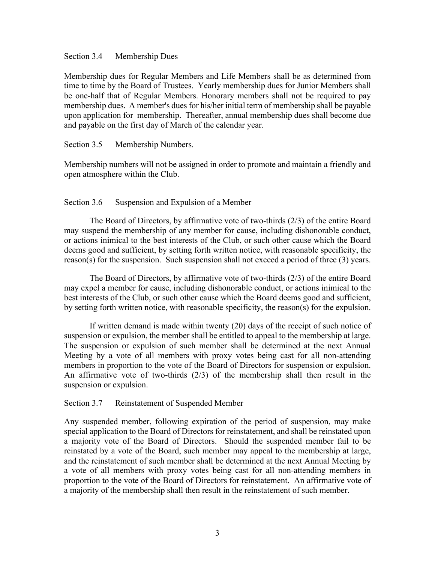#### Section 3.4 Membership Dues

Membership dues for Regular Members and Life Members shall be as determined from time to time by the Board of Trustees. Yearly membership dues for Junior Members shall be one-half that of Regular Members. Honorary members shall not be required to pay membership dues. A member's dues for his/her initial term of membership shall be payable upon application for membership. Thereafter, annual membership dues shall become due and payable on the first day of March of the calendar year.

# Section 3.5 Membership Numbers.

Membership numbers will not be assigned in order to promote and maintain a friendly and open atmosphere within the Club.

# Section 3.6 Suspension and Expulsion of a Member

The Board of Directors, by affirmative vote of two-thirds (2/3) of the entire Board may suspend the membership of any member for cause, including dishonorable conduct, or actions inimical to the best interests of the Club, or such other cause which the Board deems good and sufficient, by setting forth written notice, with reasonable specificity, the reason(s) for the suspension. Such suspension shall not exceed a period of three (3) years.

The Board of Directors, by affirmative vote of two-thirds (2/3) of the entire Board may expel a member for cause, including dishonorable conduct, or actions inimical to the best interests of the Club, or such other cause which the Board deems good and sufficient, by setting forth written notice, with reasonable specificity, the reason(s) for the expulsion.

If written demand is made within twenty (20) days of the receipt of such notice of suspension or expulsion, the member shall be entitled to appeal to the membership at large. The suspension or expulsion of such member shall be determined at the next Annual Meeting by a vote of all members with proxy votes being cast for all non-attending members in proportion to the vote of the Board of Directors for suspension or expulsion. An affirmative vote of two-thirds (2/3) of the membership shall then result in the suspension or expulsion.

# Section 3.7 Reinstatement of Suspended Member

Any suspended member, following expiration of the period of suspension, may make special application to the Board of Directors for reinstatement, and shall be reinstated upon a majority vote of the Board of Directors. Should the suspended member fail to be reinstated by a vote of the Board, such member may appeal to the membership at large, and the reinstatement of such member shall be determined at the next Annual Meeting by a vote of all members with proxy votes being cast for all non-attending members in proportion to the vote of the Board of Directors for reinstatement. An affirmative vote of a majority of the membership shall then result in the reinstatement of such member.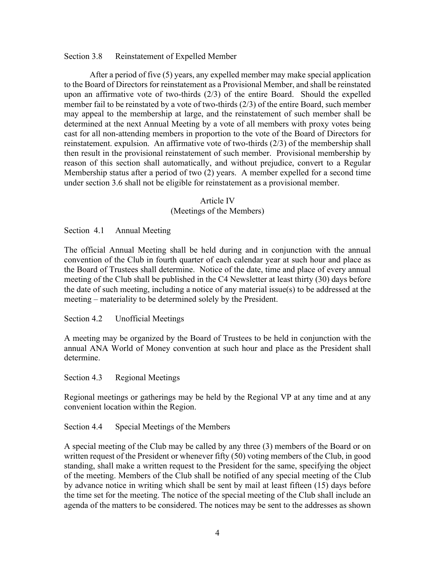# Section 3.8 Reinstatement of Expelled Member

After a period of five (5) years, any expelled member may make special application to the Board of Directors for reinstatement as a Provisional Member, and shall be reinstated upon an affirmative vote of two-thirds (2/3) of the entire Board. Should the expelled member fail to be reinstated by a vote of two-thirds (2/3) of the entire Board, such member may appeal to the membership at large, and the reinstatement of such member shall be determined at the next Annual Meeting by a vote of all members with proxy votes being cast for all non-attending members in proportion to the vote of the Board of Directors for reinstatement. expulsion. An affirmative vote of two-thirds (2/3) of the membership shall then result in the provisional reinstatement of such member. Provisional membership by reason of this section shall automatically, and without prejudice, convert to a Regular Membership status after a period of two (2) years. A member expelled for a second time under section 3.6 shall not be eligible for reinstatement as a provisional member.

#### Article IV

# (Meetings of the Members)

Section 4.1 Annual Meeting

The official Annual Meeting shall be held during and in conjunction with the annual convention of the Club in fourth quarter of each calendar year at such hour and place as the Board of Trustees shall determine. Notice of the date, time and place of every annual meeting of the Club shall be published in the C4 Newsletter at least thirty (30) days before the date of such meeting, including a notice of any material issue(s) to be addressed at the meeting – materiality to be determined solely by the President.

Section 4.2 Unofficial Meetings

A meeting may be organized by the Board of Trustees to be held in conjunction with the annual ANA World of Money convention at such hour and place as the President shall determine.

Section 4.3 Regional Meetings

Regional meetings or gatherings may be held by the Regional VP at any time and at any convenient location within the Region.

Section 4.4 Special Meetings of the Members

A special meeting of the Club may be called by any three (3) members of the Board or on written request of the President or whenever fifty (50) voting members of the Club, in good standing, shall make a written request to the President for the same, specifying the object of the meeting. Members of the Club shall be notified of any special meeting of the Club by advance notice in writing which shall be sent by mail at least fifteen (15) days before the time set for the meeting. The notice of the special meeting of the Club shall include an agenda of the matters to be considered. The notices may be sent to the addresses as shown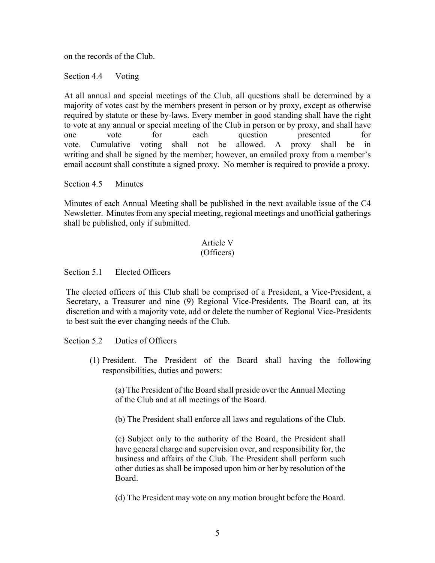on the records of the Club.

Section 4.4 Voting

At all annual and special meetings of the Club, all questions shall be determined by a majority of votes cast by the members present in person or by proxy, except as otherwise required by statute or these by-laws. Every member in good standing shall have the right to vote at any annual or special meeting of the Club in person or by proxy, and shall have one vote for each question presented for vote. Cumulative voting shall not be allowed. A proxy shall be in writing and shall be signed by the member; however, an emailed proxy from a member's email account shall constitute a signed proxy. No member is required to provide a proxy.

Section 4.5 Minutes

Minutes of each Annual Meeting shall be published in the next available issue of the C4 Newsletter. Minutes from any special meeting, regional meetings and unofficial gatherings shall be published, only if submitted.

# Article V (Officers)

Section 5.1 Elected Officers

The elected officers of this Club shall be comprised of a President, a Vice-President, a Secretary, a Treasurer and nine (9) Regional Vice-Presidents. The Board can, at its discretion and with a majority vote, add or delete the number of Regional Vice-Presidents to best suit the ever changing needs of the Club.

Section 5.2 Duties of Officers

(1) President. The President of the Board shall having the following responsibilities, duties and powers:

(a) The President of the Board shall preside over the Annual Meeting of the Club and at all meetings of the Board.

(b) The President shall enforce all laws and regulations of the Club.

(c) Subject only to the authority of the Board, the President shall have general charge and supervision over, and responsibility for, the business and affairs of the Club. The President shall perform such other duties as shall be imposed upon him or her by resolution of the Board.

(d) The President may vote on any motion brought before the Board.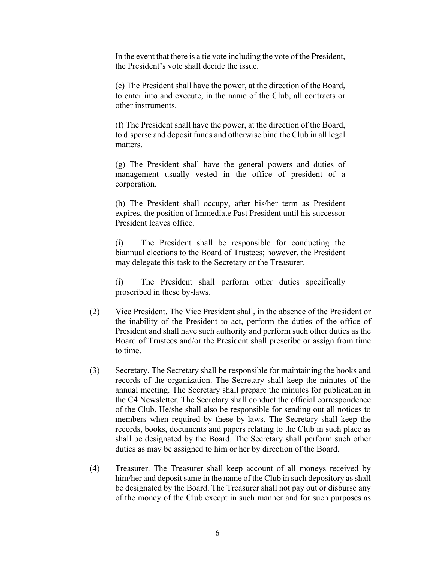In the event that there is a tie vote including the vote of the President, the President's vote shall decide the issue.

(e) The President shall have the power, at the direction of the Board, to enter into and execute, in the name of the Club, all contracts or other instruments.

(f) The President shall have the power, at the direction of the Board, to disperse and deposit funds and otherwise bind the Club in all legal matters.

(g) The President shall have the general powers and duties of management usually vested in the office of president of a corporation.

(h) The President shall occupy, after his/her term as President expires, the position of Immediate Past President until his successor President leaves office.

(i) The President shall be responsible for conducting the biannual elections to the Board of Trustees; however, the President may delegate this task to the Secretary or the Treasurer.

(i) The President shall perform other duties specifically proscribed in these by-laws.

- (2) Vice President. The Vice President shall, in the absence of the President or the inability of the President to act, perform the duties of the office of President and shall have such authority and perform such other duties as the Board of Trustees and/or the President shall prescribe or assign from time to time.
- (3) Secretary. The Secretary shall be responsible for maintaining the books and records of the organization. The Secretary shall keep the minutes of the annual meeting. The Secretary shall prepare the minutes for publication in the C4 Newsletter. The Secretary shall conduct the official correspondence of the Club. He/she shall also be responsible for sending out all notices to members when required by these by-laws. The Secretary shall keep the records, books, documents and papers relating to the Club in such place as shall be designated by the Board. The Secretary shall perform such other duties as may be assigned to him or her by direction of the Board.
- (4) Treasurer. The Treasurer shall keep account of all moneys received by him/her and deposit same in the name of the Club in such depository as shall be designated by the Board. The Treasurer shall not pay out or disburse any of the money of the Club except in such manner and for such purposes as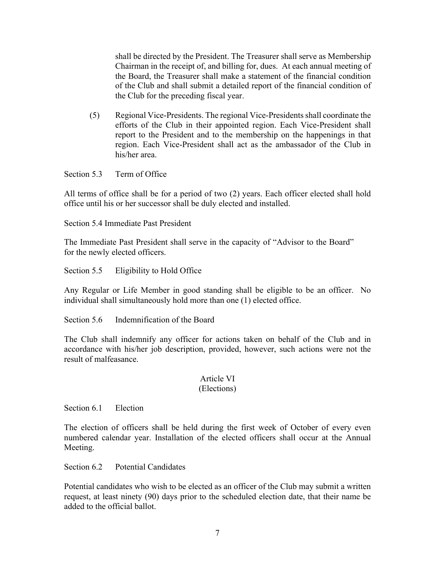shall be directed by the President. The Treasurer shall serve as Membership Chairman in the receipt of, and billing for, dues. At each annual meeting of the Board, the Treasurer shall make a statement of the financial condition of the Club and shall submit a detailed report of the financial condition of the Club for the preceding fiscal year.

(5) Regional Vice-Presidents. The regional Vice-Presidents shall coordinate the efforts of the Club in their appointed region. Each Vice-President shall report to the President and to the membership on the happenings in that region. Each Vice-President shall act as the ambassador of the Club in his/her area.

Section 5.3 Term of Office

All terms of office shall be for a period of two (2) years. Each officer elected shall hold office until his or her successor shall be duly elected and installed.

Section 5.4 Immediate Past President

The Immediate Past President shall serve in the capacity of "Advisor to the Board" for the newly elected officers.

Section 5.5 Eligibility to Hold Office

Any Regular or Life Member in good standing shall be eligible to be an officer. No individual shall simultaneously hold more than one (1) elected office.

Section 5.6 Indemnification of the Board

The Club shall indemnify any officer for actions taken on behalf of the Club and in accordance with his/her job description, provided, however, such actions were not the result of malfeasance.

# Article VI

# (Elections)

Section 6.1 Election

The election of officers shall be held during the first week of October of every even numbered calendar year. Installation of the elected officers shall occur at the Annual Meeting.

Section 6.2 Potential Candidates

Potential candidates who wish to be elected as an officer of the Club may submit a written request, at least ninety (90) days prior to the scheduled election date, that their name be added to the official ballot.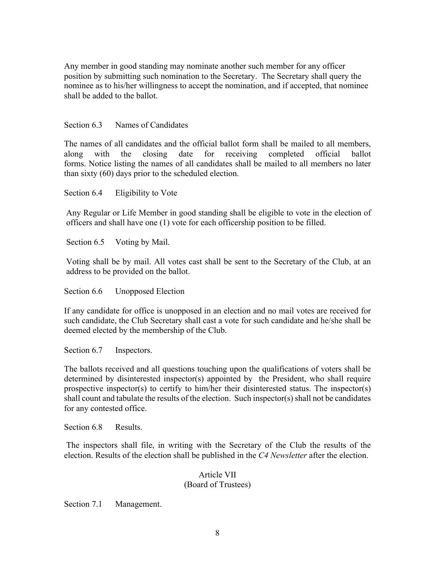Any member in good standing may nominate another such member for any officer position by submitting such nomination to the Secretary. The Secretary shall query the nominee as to his/her willingness to accept the nomination, and if accepted, that nominee shall be added to the ballot.

# Section 6.3 Names of Candidates

The names of all candidates and the official ballot form shall be mailed to all members, along with the closing date for receiving completed official ballot forms. Notice listing the names of all candidates shall be mailed to all members no later than sixty (60) days prior to the scheduled election.

Section 6.4 Eligibility to Vote

Any Regular or Life Member in good standing shall be eligible to vote in the election of officers and shall have one (1) vote for each officership position to be filled.

Section 6.5 Voting by Mail.

Voting shall be by mail. All votes cast shall be sent to the Secretary of the Club, at an address to be provided on the ballot.

Section 6.6 Unopposed Election

If any candidate for office is unopposed in an election and no mail votes are received for such candidate, the Club Secretary shall cast a vote for such candidate and he/she shall be deemed elected by the membership of the Club.

Section 6.7 Inspectors.

The ballots received and all questions touching upon the qualifications of voters shall be determined by disinterested inspector(s) appointed by the President, who shall require prospective inspector(s) to certify to him/her their disinterested status. The inspector(s) shall count and tabulate the results of the election. Such inspector(s) shall not be candidates for any contested office.

Section 6.8 Results.

The inspectors shall file, in writing with the Secretary of the Club the results of the election. Results of the election shall be published in the *C4 Newsletter* after the election.

# Article VII (Board of Trustees)

Section 7.1 Management.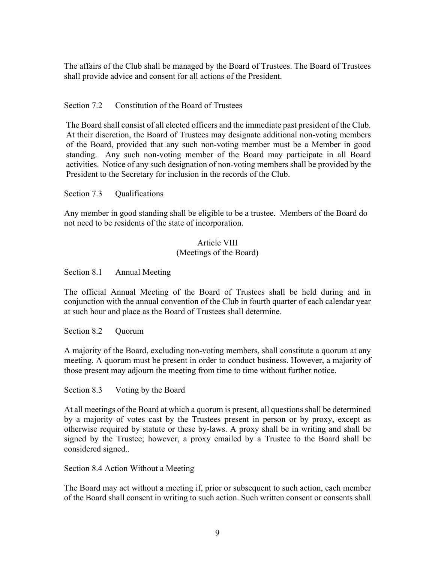The affairs of the Club shall be managed by the Board of Trustees. The Board of Trustees shall provide advice and consent for all actions of the President.

Section 7.2 Constitution of the Board of Trustees

The Board shall consist of all elected officers and the immediate past president of the Club. At their discretion, the Board of Trustees may designate additional non-voting members of the Board, provided that any such non-voting member must be a Member in good standing. Any such non-voting member of the Board may participate in all Board activities. Notice of any such designation of non-voting members shall be provided by the President to the Secretary for inclusion in the records of the Club.

Section 7.3 Qualifications

Any member in good standing shall be eligible to be a trustee. Members of the Board do not need to be residents of the state of incorporation.

# Article VIII (Meetings of the Board)

Section 8.1 Annual Meeting

The official Annual Meeting of the Board of Trustees shall be held during and in conjunction with the annual convention of the Club in fourth quarter of each calendar year at such hour and place as the Board of Trustees shall determine.

Section 8.2 Quorum

A majority of the Board, excluding non-voting members, shall constitute a quorum at any meeting. A quorum must be present in order to conduct business. However, a majority of those present may adjourn the meeting from time to time without further notice.

Section 8.3 Voting by the Board

At all meetings of the Board at which a quorum is present, all questions shall be determined by a majority of votes cast by the Trustees present in person or by proxy, except as otherwise required by statute or these by-laws. A proxy shall be in writing and shall be signed by the Trustee; however, a proxy emailed by a Trustee to the Board shall be considered signed..

Section 8.4 Action Without a Meeting

The Board may act without a meeting if, prior or subsequent to such action, each member of the Board shall consent in writing to such action. Such written consent or consents shall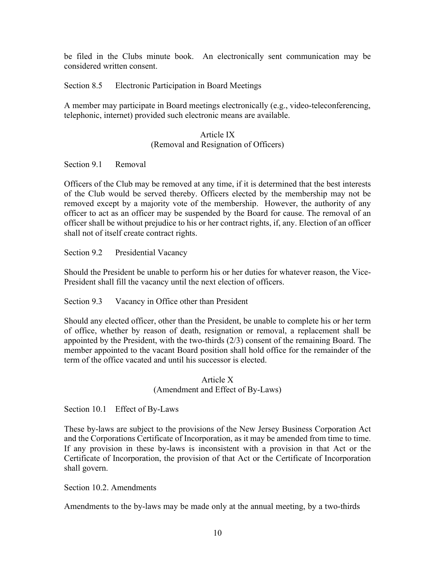be filed in the Clubs minute book. An electronically sent communication may be considered written consent.

Section 8.5 Electronic Participation in Board Meetings

A member may participate in Board meetings electronically (e.g., video-teleconferencing, telephonic, internet) provided such electronic means are available.

# Article IX (Removal and Resignation of Officers)

Section 9.1 Removal

Officers of the Club may be removed at any time, if it is determined that the best interests of the Club would be served thereby. Officers elected by the membership may not be removed except by a majority vote of the membership. However, the authority of any officer to act as an officer may be suspended by the Board for cause. The removal of an officer shall be without prejudice to his or her contract rights, if, any. Election of an officer shall not of itself create contract rights.

Section 9.2 Presidential Vacancy

Should the President be unable to perform his or her duties for whatever reason, the Vice-President shall fill the vacancy until the next election of officers.

Section 9.3 Vacancy in Office other than President

Should any elected officer, other than the President, be unable to complete his or her term of office, whether by reason of death, resignation or removal, a replacement shall be appointed by the President, with the two-thirds (2/3) consent of the remaining Board. The member appointed to the vacant Board position shall hold office for the remainder of the term of the office vacated and until his successor is elected.

> Article X (Amendment and Effect of By-Laws)

Section 10.1 Effect of By-Laws

These by-laws are subject to the provisions of the New Jersey Business Corporation Act and the Corporations Certificate of Incorporation, as it may be amended from time to time. If any provision in these by-laws is inconsistent with a provision in that Act or the Certificate of Incorporation, the provision of that Act or the Certificate of Incorporation shall govern.

# Section 10.2. Amendments

Amendments to the by-laws may be made only at the annual meeting, by a two-thirds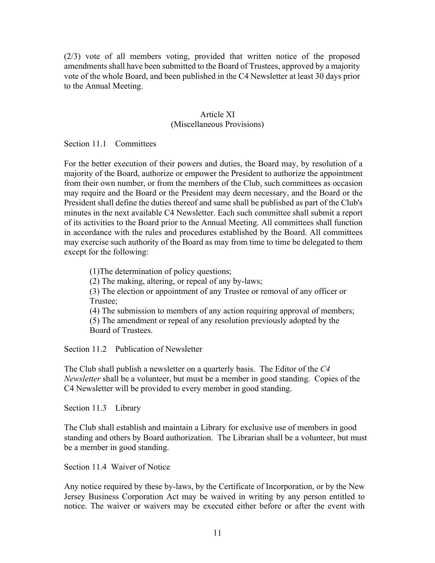(2/3) vote of all members voting, provided that written notice of the proposed amendments shall have been submitted to the Board of Trustees, approved by a majority vote of the whole Board, and been published in the C4 Newsletter at least 30 days prior to the Annual Meeting.

# Article XI (Miscellaneous Provisions)

Section 11.1 Committees

For the better execution of their powers and duties, the Board may, by resolution of a majority of the Board, authorize or empower the President to authorize the appointment from their own number, or from the members of the Club, such committees as occasion may require and the Board or the President may deem necessary, and the Board or the President shall define the duties thereof and same shall be published as part of the Club's minutes in the next available C4 Newsletter. Each such committee shall submit a report of its activities to the Board prior to the Annual Meeting. All committees shall function in accordance with the rules and procedures established by the Board. All committees may exercise such authority of the Board as may from time to time be delegated to them except for the following:

(1)The determination of policy questions;

(2) The making, altering, or repeal of any by-laws;

(3) The election or appointment of any Trustee or removal of any officer or Trustee;

(4) The submission to members of any action requiring approval of members;

(5) The amendment or repeal of any resolution previously adopted by the Board of Trustees.

Section 11.2 Publication of Newsletter

The Club shall publish a newsletter on a quarterly basis. The Editor of the *C4 Newsletter* shall be a volunteer, but must be a member in good standing. Copies of the C4 Newsletter will be provided to every member in good standing.

Section 11.3 Library

The Club shall establish and maintain a Library for exclusive use of members in good standing and others by Board authorization. The Librarian shall be a volunteer, but must be a member in good standing.

Section 11.4 Waiver of Notice

Any notice required by these by-laws, by the Certificate of Incorporation, or by the New Jersey Business Corporation Act may be waived in writing by any person entitled to notice. The waiver or waivers may be executed either before or after the event with